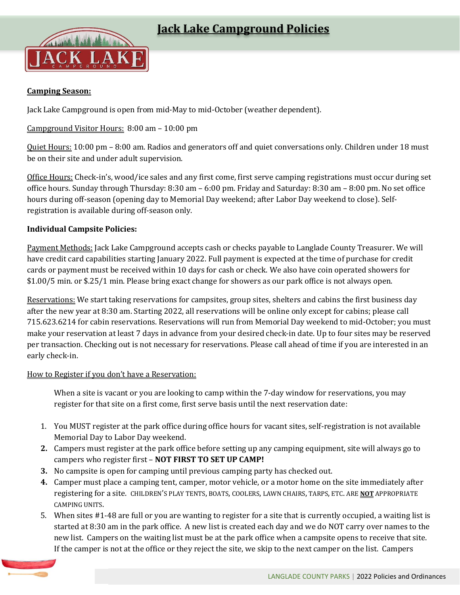

# **Camping Season:**

Jack Lake Campground is open from mid-May to mid-October (weather dependent).

### Campground Visitor Hours: 8:00 am – 10:00 pm

Quiet Hours: 10:00 pm – 8:00 am. Radios and generators off and quiet conversations only. Children under 18 must be on their site and under adult supervision.

Office Hours: Check-in's, wood/ice sales and any first come, first serve camping registrations must occur during set office hours. Sunday through Thursday: 8:30 am – 6:00 pm. Friday and Saturday: 8:30 am – 8:00 pm. No set office hours during off-season (opening day to Memorial Day weekend; after Labor Day weekend to close). Selfregistration is available during off-season only.

### **Individual Campsite Policies:**

Payment Methods: Jack Lake Campground accepts cash or checks payable to Langlade County Treasurer. We will have credit card capabilities starting January 2022. Full payment is expected at the time of purchase for credit cards or payment must be received within 10 days for cash or check. We also have coin operated showers for \$1.00/5 min. or \$.25/1 min. Please bring exact change for showers as our park office is not always open.

Reservations: We start taking reservations for campsites, group sites, shelters and cabins the first business day after the new year at 8:30 am. Starting 2022, all reservations will be online only except for cabins; please call 715.623.6214 for cabin reservations. Reservations will run from Memorial Day weekend to mid-October; you must make your reservation at least 7 days in advance from your desired check-in date. Up to four sites may be reserved per transaction. Checking out is not necessary for reservations. Please call ahead of time if you are interested in an early check-in.

#### How to Register if you don't have a Reservation:

When a site is vacant or you are looking to camp within the 7-day window for reservations, you may register for that site on a first come, first serve basis until the next reservation date:

- 1. You MUST register at the park office during office hours for vacant sites, self-registration is not available Memorial Day to Labor Day weekend.
- **2.** Campers must register at the park office before setting up any camping equipment, site will always go to campers who register first – **NOT FIRST TO SET UP CAMP!**
- **3.** No campsite is open for camping until previous camping party has checked out.
- **4.** Camper must place a camping tent, camper, motor vehicle, or a motor home on the site immediately after registering for a site. CHILDREN'S PLAY TENTS, BOATS, COOLERS, LAWN CHAIRS, TARPS, ETC. ARE **NOT** APPROPRIATE CAMPING UNITS.
- 5. When sites #1-48 are full or you are wanting to register for a site that is currently occupied, a waiting list is started at 8:30 am in the park office. A new list is created each day and we do NOT carry over names to the new list. Campers on the waiting list must be at the park office when a campsite opens to receive that site. If the camper is not at the office or they reject the site, we skip to the next camper on the list. Campers

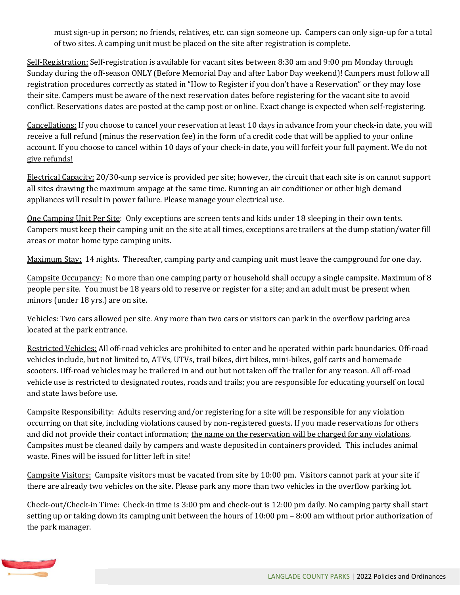must sign-up in person; no friends, relatives, etc. can sign someone up. Campers can only sign-up for a total of two sites. A camping unit must be placed on the site after registration is complete.

Self-Registration: Self-registration is available for vacant sites between 8:30 am and 9:00 pm Monday through Sunday during the off-season ONLY (Before Memorial Day and after Labor Day weekend)! Campers must follow all registration procedures correctly as stated in "How to Register if you don't have a Reservation" or they may lose their site. Campers must be aware of the next reservation dates before registering for the vacant site to avoid conflict. Reservations dates are posted at the camp post or online. Exact change is expected when self-registering.

Cancellations: If you choose to cancel your reservation at least 10 days in advance from your check-in date, you will receive a full refund (minus the reservation fee) in the form of a credit code that will be applied to your online account. If you choose to cancel within 10 days of your check-in date, you will forfeit your full payment. We do not give refunds!

Electrical Capacity: 20/30-amp service is provided per site; however, the circuit that each site is on cannot support all sites drawing the maximum ampage at the same time. Running an air conditioner or other high demand appliances will result in power failure. Please manage your electrical use.

One Camping Unit Per Site: Only exceptions are screen tents and kids under 18 sleeping in their own tents. Campers must keep their camping unit on the site at all times, exceptions are trailers at the dump station/water fill areas or motor home type camping units.

Maximum Stay: 14 nights. Thereafter, camping party and camping unit must leave the campground for one day.

Campsite Occupancy: No more than one camping party or household shall occupy a single campsite. Maximum of 8 people per site. You must be 18 years old to reserve or register for a site; and an adult must be present when minors (under 18 yrs.) are on site.

Vehicles: Two cars allowed per site. Any more than two cars or visitors can park in the overflow parking area located at the park entrance.

Restricted Vehicles: All off-road vehicles are prohibited to enter and be operated within park boundaries. Off-road vehicles include, but not limited to, ATVs, UTVs, trail bikes, dirt bikes, mini-bikes, golf carts and homemade scooters. Off-road vehicles may be trailered in and out but not taken off the trailer for any reason. All off-road vehicle use is restricted to designated routes, roads and trails; you are responsible for educating yourself on local and state laws before use.

Campsite Responsibility: Adults reserving and/or registering for a site will be responsible for any violation occurring on that site, including violations caused by non-registered guests. If you made reservations for others and did not provide their contact information; the name on the reservation will be charged for any violations. Campsites must be cleaned daily by campers and waste deposited in containers provided. This includes animal waste. Fines will be issued for litter left in site!

Campsite Visitors: Campsite visitors must be vacated from site by 10:00 pm. Visitors cannot park at your site if there are already two vehicles on the site. Please park any more than two vehicles in the overflow parking lot.

Check-out/Check-in Time: Check-in time is 3:00 pm and check-out is 12:00 pm daily. No camping party shall start setting up or taking down its camping unit between the hours of 10:00 pm – 8:00 am without prior authorization of the park manager.

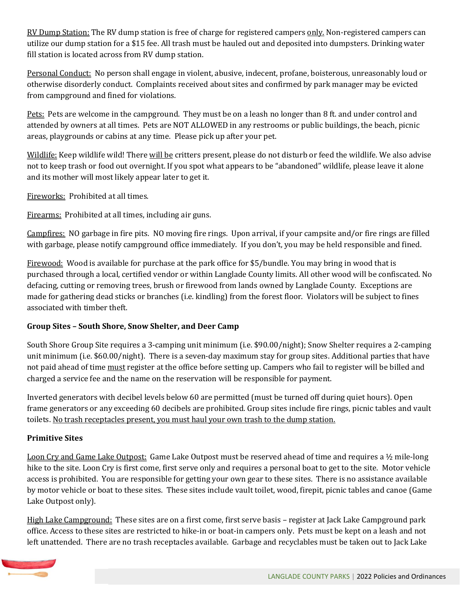RV Dump Station: The RV dump station is free of charge for registered campers only. Non-registered campers can utilize our dump station for a \$15 fee. All trash must be hauled out and deposited into dumpsters. Drinking water fill station is located across from RV dump station.

Personal Conduct: No person shall engage in violent, abusive, indecent, profane, boisterous, unreasonably loud or otherwise disorderly conduct. Complaints received about sites and confirmed by park manager may be evicted from campground and fined for violations.

Pets: Pets are welcome in the campground. They must be on a leash no longer than 8 ft. and under control and attended by owners at all times. Pets are NOT ALLOWED in any restrooms or public buildings, the beach, picnic areas, playgrounds or cabins at any time. Please pick up after your pet.

Wildlife: Keep wildlife wild! There will be critters present, please do not disturb or feed the wildlife. We also advise not to keep trash or food out overnight. If you spot what appears to be "abandoned" wildlife, please leave it alone and its mother will most likely appear later to get it.

Fireworks: Prohibited at all times.

Firearms: Prohibited at all times, including air guns.

Campfires: NO garbage in fire pits. NO moving fire rings. Upon arrival, if your campsite and/or fire rings are filled with garbage, please notify campground office immediately. If you don't, you may be held responsible and fined.

Firewood: Wood is available for purchase at the park office for \$5/bundle. You may bring in wood that is purchased through a local, certified vendor or within Langlade County limits. All other wood will be confiscated. No defacing, cutting or removing trees, brush or firewood from lands owned by Langlade County. Exceptions are made for gathering dead sticks or branches (i.e. kindling) from the forest floor. Violators will be subject to fines associated with timber theft.

### **Group Sites – South Shore, Snow Shelter, and Deer Camp**

South Shore Group Site requires a 3-camping unit minimum (i.e. \$90.00/night); Snow Shelter requires a 2-camping unit minimum (i.e. \$60.00/night). There is a seven-day maximum stay for group sites. Additional parties that have not paid ahead of time must register at the office before setting up. Campers who fail to register will be billed and charged a service fee and the name on the reservation will be responsible for payment.

Inverted generators with decibel levels below 60 are permitted (must be turned off during quiet hours). Open frame generators or any exceeding 60 decibels are prohibited. Group sites include fire rings, picnic tables and vault toilets. No trash receptacles present, you must haul your own trash to the dump station.

### **Primitive Sites**

Loon Cry and Game Lake Outpost: Game Lake Outpost must be reserved ahead of time and requires a 1/2 mile-long hike to the site. Loon Cry is first come, first serve only and requires a personal boat to get to the site. Motor vehicle access is prohibited. You are responsible for getting your own gear to these sites. There is no assistance available by motor vehicle or boat to these sites. These sites include vault toilet, wood, firepit, picnic tables and canoe (Game Lake Outpost only).

High Lake Campground: These sites are on a first come, first serve basis - register at Jack Lake Campground park office. Access to these sites are restricted to hike-in or boat-in campers only. Pets must be kept on a leash and not left unattended. There are no trash receptacles available. Garbage and recyclables must be taken out to Jack Lake

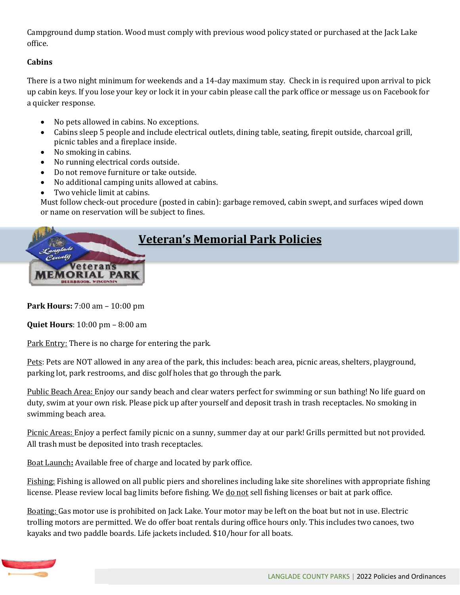Campground dump station. Wood must comply with previous wood policy stated or purchased at the Jack Lake office.

# **Cabins**

There is a two night minimum for weekends and a 14-day maximum stay. Check in is required upon arrival to pick up cabin keys. If you lose your key or lock it in your cabin please call the park office or message us on Facebook for a quicker response.

- No pets allowed in cabins. No exceptions.
- Cabins sleep 5 people and include electrical outlets, dining table, seating, firepit outside, charcoal grill, picnic tables and a fireplace inside.
- No smoking in cabins.
- No running electrical cords outside.
- Do not remove furniture or take outside.
- No additional camping units allowed at cabins.
- Two vehicle limit at cabins.

Must follow check-out procedure (posted in cabin): garbage removed, cabin swept, and surfaces wiped down or name on reservation will be subject to fines.



**Park Hours:** 7:00 am – 10:00 pm

**Quiet Hours**: 10:00 pm – 8:00 am

Park Entry: There is no charge for entering the park.

Pets: Pets are NOT allowed in any area of the park, this includes: beach area, picnic areas, shelters, playground, parking lot, park restrooms, and disc golf holes that go through the park.

Public Beach Area: Enjoy our sandy beach and clear waters perfect for swimming or sun bathing! No life guard on duty, swim at your own risk. Please pick up after yourself and deposit trash in trash receptacles. No smoking in swimming beach area.

Picnic Areas: Enjoy a perfect family picnic on a sunny, summer day at our park! Grills permitted but not provided. All trash must be deposited into trash receptacles.

Boat Launch**:** Available free of charge and located by park office.

Fishing: Fishing is allowed on all public piers and shorelines including lake site shorelines with appropriate fishing license. Please review local bag limits before fishing. We do not sell fishing licenses or bait at park office.

Boating: Gas motor use is prohibited on Jack Lake. Your motor may be left on the boat but not in use. Electric trolling motors are permitted. We do offer boat rentals during office hours only. This includes two canoes, two kayaks and two paddle boards. Life jackets included. \$10/hour for all boats.